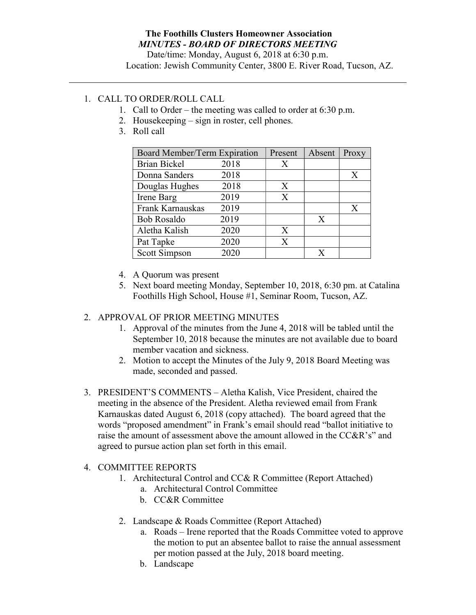#### The Foothills Clusters Homeowner Association MINUTES - BOARD OF DIRECTORS MEETING

Date/time: Monday, August 6, 2018 at 6:30 p.m. Location: Jewish Community Center, 3800 E. River Road, Tucson, AZ.

# 1. CALL TO ORDER/ROLL CALL

- 1. Call to Order the meeting was called to order at 6:30 p.m.
- 2. Housekeeping sign in roster, cell phones.
- 3. Roll call

| Board Member/Term Expiration |      | Present | Absent | Proxy |
|------------------------------|------|---------|--------|-------|
| <b>Brian Bickel</b>          | 2018 | X       |        |       |
| Donna Sanders                | 2018 |         |        | X     |
| Douglas Hughes               | 2018 | X       |        |       |
| Irene Barg                   | 2019 | X       |        |       |
| Frank Karnauskas             | 2019 |         |        | X     |
| <b>Bob Rosaldo</b>           | 2019 |         | X      |       |
| Aletha Kalish                | 2020 | X       |        |       |
| Pat Tapke                    | 2020 | X       |        |       |
| Scott Simpson                | 2020 |         |        |       |

- 4. A Quorum was present
- 5. Next board meeting Monday, September 10, 2018, 6:30 pm. at Catalina Foothills High School, House #1, Seminar Room, Tucson, AZ.

## 2. APPROVAL OF PRIOR MEETING MINUTES

- 1. Approval of the minutes from the June 4, 2018 will be tabled until the September 10, 2018 because the minutes are not available due to board member vacation and sickness.
- 2. Motion to accept the Minutes of the July 9, 2018 Board Meeting was made, seconded and passed.
- 3. PRESIDENT'S COMMENTS Aletha Kalish, Vice President, chaired the meeting in the absence of the President. Aletha reviewed email from Frank Karnauskas dated August 6, 2018 (copy attached). The board agreed that the words "proposed amendment" in Frank's email should read "ballot initiative to raise the amount of assessment above the amount allowed in the CC&R's" and agreed to pursue action plan set forth in this email.

## 4. COMMITTEE REPORTS

- 1. Architectural Control and CC& R Committee (Report Attached)
	- a. Architectural Control Committee
	- b. CC&R Committee
- 2. Landscape & Roads Committee (Report Attached)
	- a. Roads Irene reported that the Roads Committee voted to approve the motion to put an absentee ballot to raise the annual assessment per motion passed at the July, 2018 board meeting.
	- b. Landscape